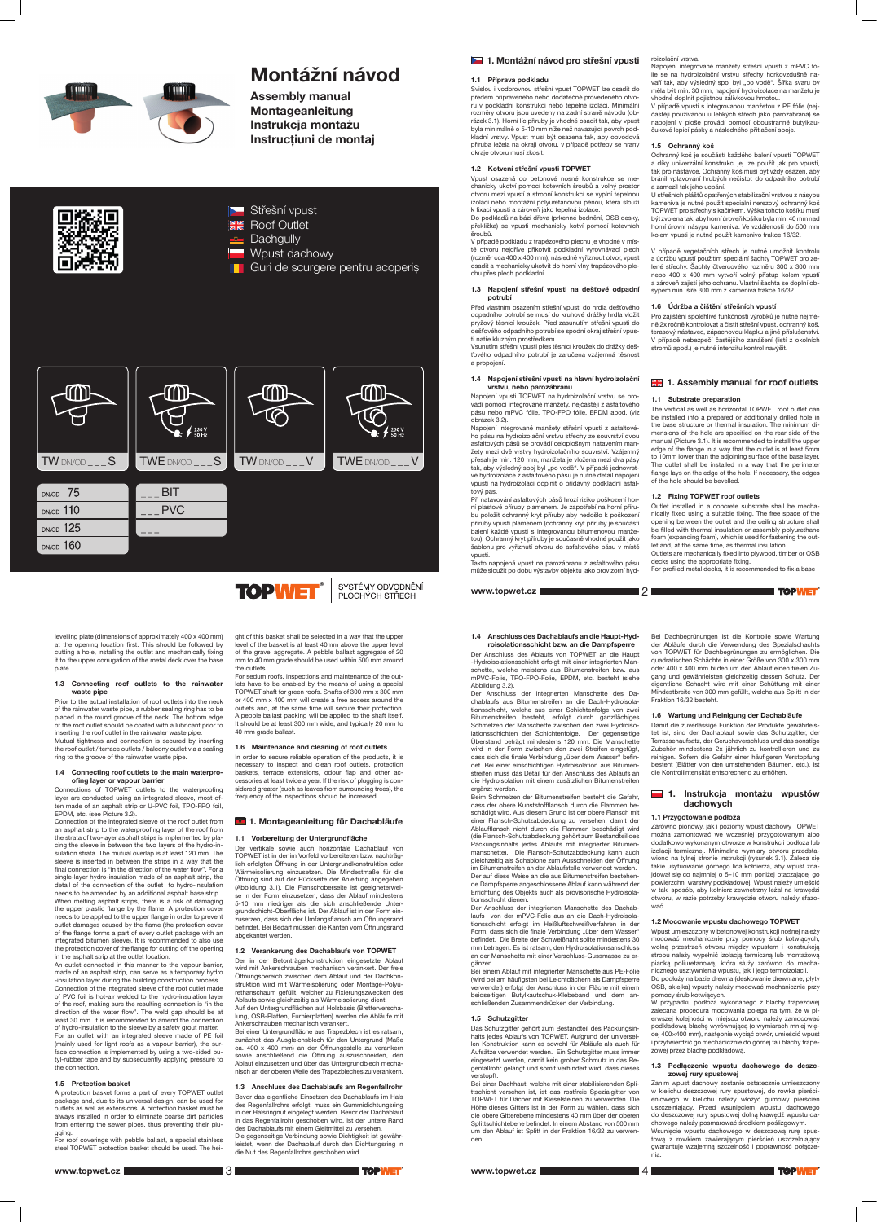

# Montážní návod

Assembly manual Montageanleitung Instrukcja montażu Instrucțiuni de montaj





Guri de scurgere pentru acoperiș

#### 1.1 Příprava podkladu

Vpust osazená do betonové nosné konstrukce se mechanicky ukotví pomocí kotevních šroubů a volný prostor otvoru mezi vpustí a stropní konstrukcí se vyplní tepelnou izolací nebo montážní polyuretanovou pěnou, která slouží k fixaci vpusti a zároveň jako tepelná izolace.

Svislou i vodorovnou střešní vpust TOPWET lze osadit do předem připraveného nebo dodatečně provedeného otvoru v podkladní konstrukci nebo tepelné izolaci. Minimální rozměry otvoru jsou uvedeny na zadní straně návodu (obrázek 3.1). Horní líc příruby je vhodné osadit tak, aby vpust byla minimálně o 5-10 mm níže než navazující povrch podkladní vrstvy. Vpust musí být osazena tak, aby obvodová příruba ležela na okraji otvoru, v případě potřeby se hrany okraje otvoru musí zkosit.

## 1.2 Kotvení střešní vpusti TOPWET

Vsunutím střešní vpusti přes těsnící kroužek do drážky dešťového odpadního potrubí je zaručena vzájemná těsnost a propojen

Do podkladů na bázi dřeva (prkenné bednění, OSB desky, překližka) se vpusti mechanicky kotví pomocí kotevních šroubů.

V případě podkladu z trapézového plechu je vhodné v místě otvoru nejdříve přikotvit podkladní vyrovnávací plech (rozměr cca 400 x 400 mm), následně vyříznout otvor, vpust osadit a mechanicky ukotvit do horní vlny trapézového plechu přes plech podkladní.

#### 1.3 Napojení střešní vpusti na dešťové odpadní potrubí

Před vlastním osazením střešní vpusti do hrdla dešťového odpadního potrubí se musí do kruhové drážky hrdla vložit pryžový těsnící kroužek. Před zasunutím střešní vpusti do dešťového odpadního potrubí se spodní okraj střešní vpusti natře kluzným prostředkem.

#### 1.4 Napojení střešní vpusti na hlavní hydroizolační vrstvu, nebo parozábranu

Napojení vpusti TOPWET na hydroizolační vrstvu se provádí pomocí integrované manžety, nejčastěji z asfaltového pásu nebo mPVC fólie, TPO-FPO fólie, EPDM apod. (viz obrázek 3.2).

Napojení integrované manžety střešní vpusti z asfaltového pásu na hydroizolační vrstvu střechy ze souvrství dvou asfaltových pásů se provádí celoplošným natavením manžety mezi dvě vrstvy hydroizolačního souvrství. Vzájemný přesah je min. 120 mm, manžeta je vložena mezi dva pásy tak, aby výsledný spoj byl "po vodě". V případě jednovrstvé hydroizolace z asfaltového pásu je nutné detail napojení vpusti na hydroizolaci doplnit o přídavný podkladní asfaltový pás.

Při natavování asfaltových pásů hrozí riziko poškození horní plastové příruby plamenem. Je zapotřebí na horní přírubu položit ochranný kryt příruby aby nedošlo k poškození příruby vpusti plamenem (ochranný kryt příruby je součástí balení každé vpusti s integrovanou bitumenovou manžetou). Ochranný kryt příruby je současně vhodné použít jako šablonu pro vyříznutí otvoru do asfaltového pásu v místě vpusti.

Takto napojená vpust na parozábranu z asfaltového pásu může sloužit po dobu výstavby objektu jako provizorní hydroizolační vrstva.

Napojení integrované manžety střešní vpusti z mPVC fólie se na hydroizolační vrstvu střechy horkovzdušně navaří tak, aby výsledný spoj byl "po vodě". Šířka svaru by měla být min. 30 mm, napojení hydroizolace na manžetu je vhodné doplnit pojistnou zálivkovou hmotou.

#### 1.4 Connecting roof outlets to the main waterproofing layer or vapour barrier

V případě vpusti s integrovanou manžetou z PE fólie (nejčastěji používanou u lehkých střech jako parozábrana) se napojení v ploše provádí pomocí oboustranné butylkaučukové lepicí pásky a následného přitlačení spoje.

Connections of TOPWET outlets to the waterproofing layer are conducted using an integrated sleeve, most often made of an asphalt strip or U-PVC foil, TPO-FPO foil, EPDM, etc. (see Picture 3.2).

#### 1.5 Ochranný koš

Ochranný koš je součástí každého balení vpusti TOPWET a díky univerzální konstrukci jej lze použít jak pro vpusti, tak pro nástavce. Ochranný koš musí být vždy osazen, aby bránil vplavování hrubých nečistot do odpadního potrubí a zamezil tak jeho ucpání.

U střešních plášťů opatřených stabilizační vrstvou z násypu kameniva je nutné použít speciální nerezový ochranný koš TOPWET pro střechy s kačírkem. Výška tohoto košíku musí být zvolena tak, aby horní úroveň košíku byla min. 40 mm nad horní úrovní násypu kameniva. Ve vzdálenosti do 500 mm kolem vpusti je nutné použít kamenivo frakce 16/32.

V případě vegetačních střech je nutné umožnit kontrolu a údržbu vpustí použitím speciální šachty TOPWET pro zelené střechy. Šachty čtvercového rozměru 300 x 300 mm nebo 400 x 400 mm vytvoří volný přístup kolem vpustí a zároveň zajistí jeho ochranu. Vlastní šachta se doplní obsypem min. šíře 300 mm z kameniva frakce 16/32.

#### 1.6 Údržba a čištění střešních vpustí

Pro zajištění spolehlivé funkčnosti výrobků je nutné nejméně 2x ročně kontrolovat a čistit střešní vpust, ochranný koš, terasový nástavec, zápachovou klapku a jiné příslušenství. V případě nebezpečí častějšího zanášení (listí z okolních stromů apod.) je nutné intenzitu kontrol navýšit.

# **1.** Assembly manual for roof outlets

#### 1.1 Substrate preparation

The vertical as well as horizontal TOPWET roof outlet can be installed into a prepared or additionally drilled hole in the base structure or thermal insulation. The minimum dimensions of the hole are specified on the rear side of the manual (Picture 3.1). It is recommended to install the upper edge of the flange in a way that the outlet is at least 5mm to 10mm lower than the adjoining surface of the base layer. The outlet shall be installed in a way that the perimeter flange lays on the edge of the hole. If necessary, the edges of the hole should be bevelled.

#### 1.2 Fixing TOPWET roof outlets

■2

Outlet installed in a concrete substrate shall be mechanically fixed using a suitable fixing. The free space of the opening between the outlet and the ceiling structure shall be filled with thermal insulation or assembly polyurethane foam (expanding foam), which is used for fastening the outlet and, at the same time, as thermal insulation.

Outlets are mechanically fixed into plywood, timber or OSB decks using the appropriate fixing.

For profiled metal decks, it is recommended to fix a base

**TOPWET** 

Bei einer Untergrundfläche aus Trapezblech ist es ratsam, zunächst das Ausgleichsblech für den Untergrund (Maße ca. 400 x 400 mm) an der Öffnungsstelle zu verankern sowie anschließend die Öffnung auszuschneiden, den Ablauf einzusetzen und über das Untergrundblech mechanisch an der oberen Welle des Trapezbleches zu verankern.

levelling plate (dimensions of approximately 400 x 400 mm) at the opening location first. This should be followed by cutting a hole, installing the outlet and mechanically fixing it to the upper corrugation of the metal deck over the base plate.

#### 1.3 Connecting roof outlets to the rainwater waste pipe

Prior to the actual installation of roof outlets into the neck of the rainwater waste pipe, a rubber sealing ring has to be placed in the round groove of the neck. The bottom edge of the roof outlet should be coated with a lubricant prior to inserting the roof outlet in the rainwater waste pipe. Mutual tightness and connection is secured by inserting the roof outlet / terrace outlets / balcony outlet via a sealing ring to the groove of the rainwater waste pipe.

Connection of the integrated sleeve of the roof outlet from an asphalt strip to the waterproofing layer of the roof from the strata of two-layer asphalt strips is implemented by placing the sleeve in between the two layers of the hydro-insulation strata. The mutual overlap is at least 120 mm. The sleeve is inserted in between the strips in a way that the final connection is "in the direction of the water flow". For a single-layer hydro-insulation made of an asphalt strip, the detail of the connection of the outlet to hydro-insulation needs to be amended by an additional asphalt base strip. When melting asphalt strips, there is a risk of damaging the upper plastic flange by the flame. A protection cover needs to be applied to the upper flange in order to prevent outlet damages caused by the flame (the protection cover of the flange forms a part of every outlet package with an integrated bitumen sleeve). It is recommended to also use the protection cover of the flange for cutting off the opening in the asphalt strip at the outlet location. An outlet connected in this manner to the vapour barrier made of an asphalt strip, can serve as a temporary hydro -insulation layer during the building construction process. Connection of the integrated sleeve of the roof outlet made of PVC foil is hot-air welded to the hydro-insulation layer of the roof, making sure the resulting connection is "in the direction of the water flow". The weld gap should be at least 30 mm. It is recommended to amend the connection of hydro-insulation to the sleeve by a safety grout matter. For an outlet with an integrated sleeve made of PE foil (mainly used for light roofs as a vapour barrier), the surface connection is implemented by using a two-sided butyl-rubber tape and by subsequently applying pressure to the connection.

# 1. Instrukcja montażu wpustów dachowych

#### 1.5 Protection basket

A protection basket forms a part of every TOPWET outlet package and, due to its universal design, can be used for outlets as well as extensions. A protection basket must be always installed in order to eliminate coarse dirt particles from entering the sewer pipes, thus preventing their plugging.

For roof coverings with pebble ballast, a special stainless steel TOPWET protection basket should be used. The hei-





ght of this basket shall be selected in a way that the upper level of the basket is at least 40mm above the upper level of the gravel aggregate. A pebble ballast aggregate of 20 mm to 40 mm grade should be used within 500 mm around the outlets.

SYSTÉMY ODVODNĚNÍ

PLOCHÝCH STŘECH

For sedum roofs, inspections and maintenance of the outlets have to be enabled by the means of using a special TOPWET shaft for green roofs. Shafts of 300 mm x 300 mm or 400 mm x 400 mm will create a free access around the outlets and, at the same time will secure their protection. A pebble ballast packing will be applied to the shaft itself. It should be at least 300 mm wide, and typically 20 mm to 40 mm grade ballast.

#### 1.6 Maintenance and cleaning of roof outlets

In order to secure reliable operation of the products, it is necessary to inspect and clean roof outlets, protection baskets, terrace extensions, odour flap and other accessories at least twice a year. If the risk of plugging is considered greater (such as leaves from surrounding trees), the frequency of the inspections should be increased.

# 1. Montageanleitung für Dachabläufe

#### 1.1 Vorbereitung der Untergrundfläche

Der vertikale sowie auch horizontale Dachablauf von TOPWET ist in der im Vorfeld vorbereiteten bzw. nachträglich erfolgten Öffnung in der Untergrundkonstruktion oder Wärmeisolierung einzusetzen. Die Mindestmaße für die Öffnung sind auf der Rückseite der Anleitung angegeben (Abbildung 3.1). Die Flanschoberseite ist geeigneterweise in der Form einzusetzen, dass der Ablauf mindestens 5-10 mm niedriger als die sich anschließende Untergrundschicht-Oberfläche ist. Der Ablauf ist in der Form einzusetzen, dass sich der Umfangsflansch am Öffnungsrand befindet. Bei Bedarf müssen die Kanten vom Öffnungsrand abgekantet werden.

### 1. Montážní návod pro střešní vpusti

#### 1.2 Verankerung des Dachablaufs von TOPWET

Der in der Betonträgerkonstruktion eingesetzte Ablauf wird mit Ankerschrauben mechanisch verankert. Der freie Öffnungsbereich zwischen dem Ablauf und der Dachkonstruktion wird mit Wärmeisolierung oder Montage-Polyurethanschaum gefüllt, welcher zu Fixierungszwecken des Ablaufs sowie gleichzeitig als Wärmeisolierung dient. Auf den Untergrundflächen auf Holzbasis (Bretterverschalung, OSB-Platten, Furnierplatten) werden die Abläufe mit Ankerschrauben mechanisch verankert.

#### 1.3 Anschluss des Dachablaufs am Regenfallrohr

Bevor das eigentliche Einsetzen des Dachablaufs im Hals des Regenfallrohrs erfolgt, muss ein Gummidichtungsring in der Halsringnut eingelegt werden. Bevor der Dachablauf in das Regenfallrohr geschoben wird, ist der untere Rand des Dachablaufs mit einem Gleitmittel zu versehen. Die gegenseitige Verbindung sowie Dichtigkeit ist gewährleistet, wenn der Dachablauf durch den Dichtungsring in die Nut des Regenfallrohrs geschoben wird.

#### 1.4 Anschluss des Dachablaufs an die Haupt-Hydroisolationsschicht bzw. an die Dampfsperre

Der Anschluss des Ablaufs von TOPWET an die Haupt -Hydroisolationsschicht erfolgt mit einer integrierten Manschette, welche meistens aus Bitumenstreifen bzw. aus mPVC-Folie, TPO-FPO-Folie, EPDM, etc. besteht (siehe Abbildung 3.2).

Der Anschluss der integrierten Manschette des Dachablaufs aus Bitumenstreifen an die Dach-Hydroisolationsschicht, welche aus einer Schichtenfolge von zwei Bitumenstreifen besteht, erfolgt durch ganzflächiges Schmelzen der Manschette zwischen den zwei Hydroisolationsschichten der Schichtenfolge. Der gegenseitige Überstand beträgt mindestens 120 mm. Die Manschette wird in der Form zwischen den zwei Streifen eingefügt, dass sich die finale Verbindung "über dem Wasser" befindet. Bei einer einschichtigen Hydroisolation aus Bitumenstreifen muss das Detail für den Anschluss des Ablaufs an die Hydroisolation mit einem zusätzlichen Bitumenstreifen ergänzt werden.

Beim Schmelzen der Bitumenstreifen besteht die Gefahr, dass der obere Kunststoffflansch durch die Flammen beschädigt wird. Aus diesem Grund ist der obere Flansch mit einer Flansch-Schutzabdeckung zu versehen, damit der Ablaufflansch nicht durch die Flammen beschädigt wird (die Flansch-Schutzabdeckung gehört zum Bestandteil des Packungsinhalts jedes Ablaufs mit integrierter Bitumenmanschette). Die Flansch-Schutzabdeckung kann auch gleichzeitig als Schablone zum Ausschneiden der Öffnung im Bitumenstreifen an der Ablaufstelle verwendet werden. Der auf diese Weise an die aus Bitumenstreifen bestehende Dampfsperre angeschlossene Ablauf kann während der

Errichtung des Objekts auch als provisorische Hydroisolationsschicht dienen.

Der Anschluss der integrierten Manschette des Dachablaufs von der mPVC-Folie aus an die Dach-Hydroisolationsschicht erfolgt im Heißluftschweißverfahren in der Form, dass sich die finale Verbindung "über dem Wasser" befindet. Die Breite der Schweißnaht sollte mindestens 30 mm betragen. Es ist ratsam, den Hydroisolationsanschluss an der Manschette mit einer Verschluss-Gussmasse zu ergänzen.

Bei einem Ablauf mit integrierter Manschette aus PE-Folie (wird bei am häufigsten bei Leichtdächern als Dampfsperre verwendet) erfolgt der Anschluss in der Fläche mit einem beidseitigen Butylkautschuk-Klebeband und dem anschließenden Zusammendrücken der Verbindung.

#### 1.5 Schutzgitter

Das Schutzgitter gehört zum Bestandteil des Packungsinhalts jedes Ablaufs von TOPWET. Aufgrund der universellen Konstruktion kann es sowohl für Abläufe als auch für Aufsätze verwendet werden. Ein Schutzgitter muss immer eingesetzt werden, damit kein grober Schmutz in das Regenfallrohr gelangt und somit verhindert wird, dass dieses verstopft.

Bei einer Dachhaut, welche mit einer stabilisierenden Splittschicht versehen ist, ist das rostfreie Spezialgitter von TOPWET für Dächer mit Kieselsteinen zu verwenden. Die Höhe dieses Gitters ist in der Form zu wählen, dass sich die obere Gitterebene mindestens 40 mm über der oberen Splittschichtebene befindet. In einem Abstand von 500 mm um den Ablauf ist Splitt in der Fraktion 16/32 zu verwenden.

Bei Dachbegrünungen ist die Kontrolle sowie Wartung der Abläufe durch die Verwendung des Spezialschachts von TOPWET für Dachbegrünungen zu ermöglichen. Die quadratischen Schächte in einer Größe von 300 x 300 mm oder 400 x 400 mm bilden um den Ablauf einen freien Zugang und gewährleisten gleichzeitig dessen Schutz. Der eigentliche Schacht wird mit einer Schüttung mit einer Mindestbreite von 300 mm gefüllt, welche aus Splitt in der Fraktion 16/32 besteht.

#### 1.6 Wartung und Reinigung der Dachabläufe

Damit die zuverlässige Funktion der Produkte gewährleistet ist, sind der Dachablauf sowie das Schutzgitter, der Terrassenaufsatz, der Geruchsverschluss und das sonstige Zubehör mindestens 2x jährlich zu kontrollieren und zu reinigen. Sofern die Gefahr einer häufigeren Verstopfung besteht (Blätter von den umstehenden Bäumen, etc.), ist die Kontrollintensität entsprechend zu erhöhen.

# 1.1 Przygotowanie podłoża

Zarówno pionowy, jak i poziomy wpust dachowy TOPWET można zamontować we wcześniej przygotowanym albo dodatkowo wykonanym otworze w konstrukcji podłoża lub izolacji termicznej. Minimalne wymiary otworu przedstawiono na tylnej stronie instrukcji (rysunek 3.1). Zaleca się takie usytuowanie górnego lica kołnierza, aby wpust znajdował się co najmniej o 5–10 mm poniżej otaczającej go powierzchni warstwy podkładowej. Wpust należy umieścić w taki sposób, aby kołnierz zewnętrzny leżał na krawędz otworu, w razie potrzeby krawędzie otworu należy sfazować.

#### 1.2 Mocowanie wpustu dachowego TOPWET

Wpust umieszczony w betonowej konstrukcji nośnej należy mocować mechanicznie przy pomocy śrub kotwiących, wolną przestrzeń otworu między wpustem i konstrukcją stropu należy wypełnić izolacją termiczną lub montażową pianką poliuretanową, która służy zarówno do mechanicznego usztywnienia wpustu, jak i jego termoizolacji. Do podłoży na bazie drewna (deskowanie drewniane, płyty OSB, sklejka) wpusty należy mocować mechanicznie przy pomocy śrub kotwiących.

W przypadku podłoża wykonanego z blachy trapezowej zalecana procedura mocowania polega na tym, że w pierwszej kolejności w miejscu otworu należy zamocować podkładową blachę wyrównującą (o wymiarach mniej więcej 400×400 mm), następnie wyciąć otwór, umieścić wpust i przytwierdzić go mechanicznie do górnej fali blachy trapezowej przez blachę podkładową.

#### 1.3 Podłączenie wpustu dachowego do deszczowej rury spustowej

Zanim wpust dachowy zostanie ostatecznie umieszczony w kielichu deszczowej rury spustowej, do rowka pierścieniowego w kielichu należy włożyć gumowy pierścień uszczelniający. Przed wsunięciem wpustu dachowego do deszczowej rury spustowej dolną krawędź wpustu dachowego należy posmarować środkiem poślizgowym. Wsunięcie wpustu dachowego w deszczową rurę spustową z rowkiem zawierającym pierścień uszczelniający gwarantuje wzajemną szczelność i poprawność połączenia.

www.topwet.cz  $\blacksquare$  3  $\blacksquare$  3  $\blacksquare$   $\blacksquare$   $\blacksquare$   $\blacksquare$   $\blacksquare$   $\blacksquare$   $\blacksquare$   $\blacksquare$   $\blacksquare$   $\blacksquare$   $\blacksquare$   $\blacksquare$   $\blacksquare$   $\blacksquare$   $\blacksquare$   $\blacksquare$   $\blacksquare$   $\blacksquare$   $\blacksquare$   $\blacksquare$   $\blacksquare$   $\blacksquare$   $\blacksquare$   $\blacksquare$   $\blacksquare$   $\blacksquare$   $\blacksquare$ 



www.topwet.cz